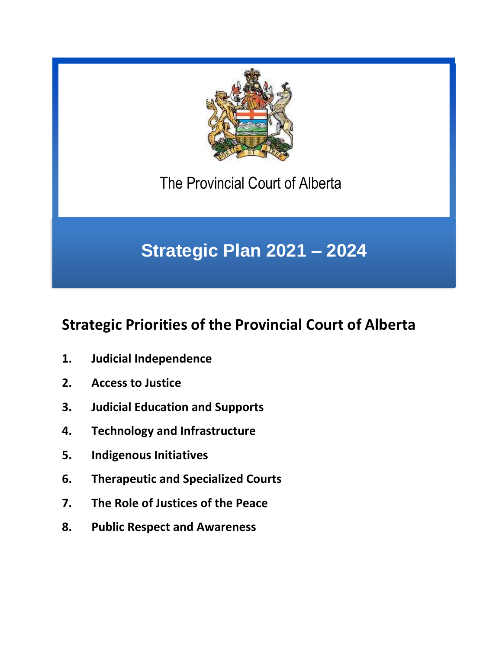

The Provincial Court of Alberta

# **Strategic Plan 2021 – 2024**

## **Strategic Priorities of the Provincial Court of Alberta**

- **1. Judicial Independence**
- **2. Access to Justice**
- **3. Judicial Education and Supports**
- **4. Technology and Infrastructure**
- **5. Indigenous Initiatives**
- **6. Therapeutic and Specialized Courts**
- **7. The Role of Justices of the Peace**
- **8. Public Respect and Awareness**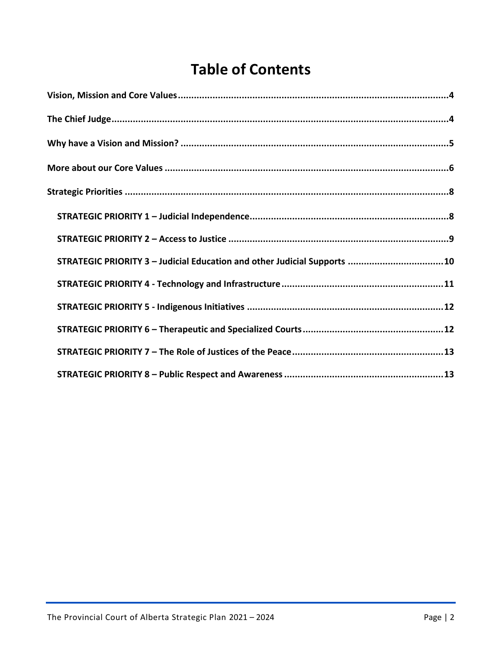## **Table of Contents**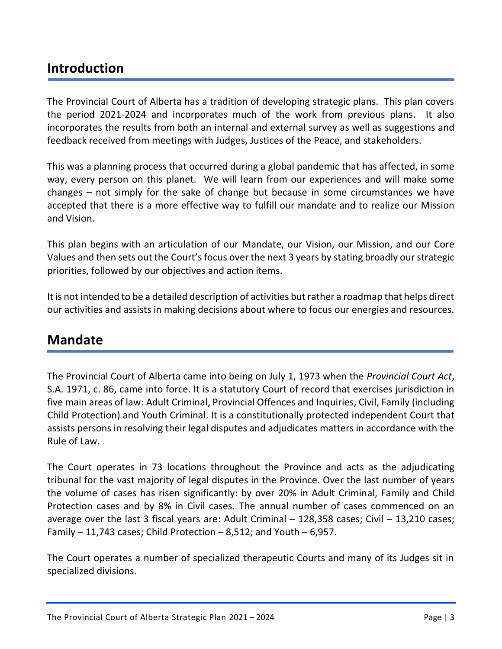## **Introduction**

The Provincial Court of Alberta has a tradition of developing strategic plans. This plan covers the period 2021-2024 and incorporates much of the work from previous plans. It also incorporates the results from both an internal and external survey as well as suggestions and feedback received from meetings with Judges, Justices of the Peace, and stakeholders.

This was a planning process that occurred during a global pandemic that has affected, in some way, every person on this planet. We will learn from our experiences and will make some changes – not simply for the sake of change but because in some circumstances we have accepted that there is a more effective way to fulfill our mandate and to realize our Mission and Vision.

This plan begins with an articulation of our Mandate, our Vision, our Mission, and our Core Values and then sets out the Court's focus over the next 3 years by stating broadly our strategic priorities, followed by our objectives and action items.

It is not intended to be a detailed description of activities but rather a roadmap that helps direct our activities and assists in making decisions about where to focus our energies and resources.

## **Mandate**

The Provincial Court of Alberta came into being on July 1, 1973 when the *Provincial Court Act*, S.A. 1971, c. 86, came into force. It is a statutory Court of record that exercises jurisdiction in five main areas of law: Adult Criminal, Provincial Offences and Inquiries, Civil, Family (including Child Protection) and Youth Criminal. It is a constitutionally protected independent Court that assists persons in resolving their legal disputes and adjudicates matters in accordance with the Rule of Law.

The Court operates in 73 locations throughout the Province and acts as the adjudicating tribunal for the vast majority of legal disputes in the Province. Over the last number of years the volume of cases has risen significantly: by over 20% in Adult Criminal, Family and Child Protection cases and by 8% in Civil cases. The annual number of cases commenced on an average over the last 3 fiscal years are: Adult Criminal – 128,358 cases; Civil – 13,210 cases; Family  $-11,743$  cases; Child Protection  $-8,512$ ; and Youth  $-6,957$ .

The Court operates a number of specialized therapeutic Courts and many of its Judges sit in specialized divisions.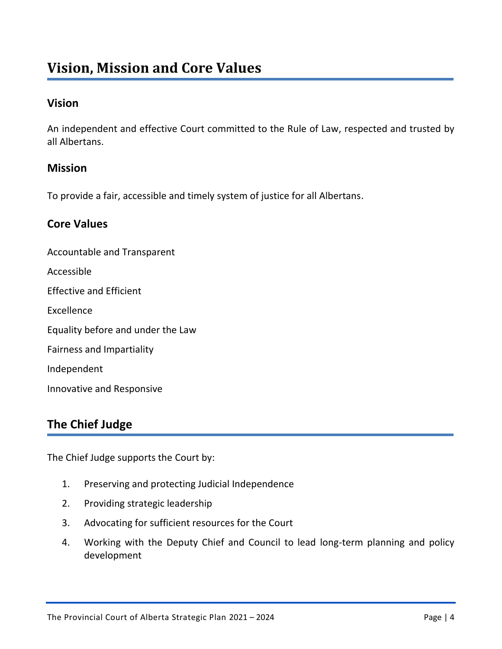## <span id="page-3-0"></span>**Vision, Mission and Core Values**

#### **Vision**

An independent and effective Court committed to the Rule of Law, respected and trusted by all Albertans.

#### **Mission**

To provide a fair, accessible and timely system of justice for all Albertans.

#### **Core Values**

Accountable and Transparent Accessible Effective and Efficient Excellence Equality before and under the Law Fairness and Impartiality Independent Innovative and Responsive

## <span id="page-3-1"></span>**The Chief Judge**

The Chief Judge supports the Court by:

- 1. Preserving and protecting Judicial Independence
- 2. Providing strategic leadership
- 3. Advocating for sufficient resources for the Court
- 4. Working with the Deputy Chief and Council to lead long-term planning and policy development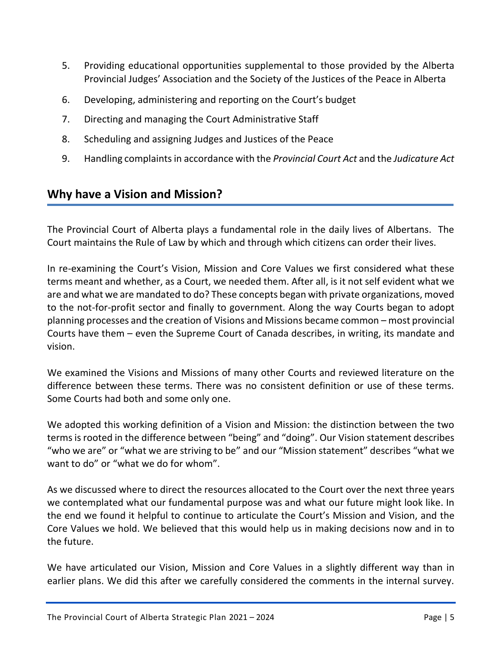- 5. Providing educational opportunities supplemental to those provided by the Alberta Provincial Judges' Association and the Society of the Justices of the Peace in Alberta
- 6. Developing, administering and reporting on the Court's budget
- 7. Directing and managing the Court Administrative Staff
- 8. Scheduling and assigning Judges and Justices of the Peace
- 9. Handling complaints in accordance with the *Provincial Court Act* and the *Judicature Act*

## <span id="page-4-0"></span>**Why have a Vision and Mission?**

The Provincial Court of Alberta plays a fundamental role in the daily lives of Albertans. The Court maintains the Rule of Law by which and through which citizens can order their lives.

In re-examining the Court's Vision, Mission and Core Values we first considered what these terms meant and whether, as a Court, we needed them. After all, is it not self evident what we are and what we are mandated to do? These concepts began with private organizations, moved to the not-for-profit sector and finally to government. Along the way Courts began to adopt planning processes and the creation of Visions and Missions became common – most provincial Courts have them – even the Supreme Court of Canada describes, in writing, its mandate and vision.

We examined the Visions and Missions of many other Courts and reviewed literature on the difference between these terms. There was no consistent definition or use of these terms. Some Courts had both and some only one.

We adopted this working definition of a Vision and Mission: the distinction between the two terms is rooted in the difference between "being" and "doing". Our Vision statement describes "who we are" or "what we are striving to be" and our "Mission statement" describes "what we want to do" or "what we do for whom".

As we discussed where to direct the resources allocated to the Court over the next three years we contemplated what our fundamental purpose was and what our future might look like. In the end we found it helpful to continue to articulate the Court's Mission and Vision, and the Core Values we hold. We believed that this would help us in making decisions now and in to the future.

We have articulated our Vision, Mission and Core Values in a slightly different way than in earlier plans. We did this after we carefully considered the comments in the internal survey.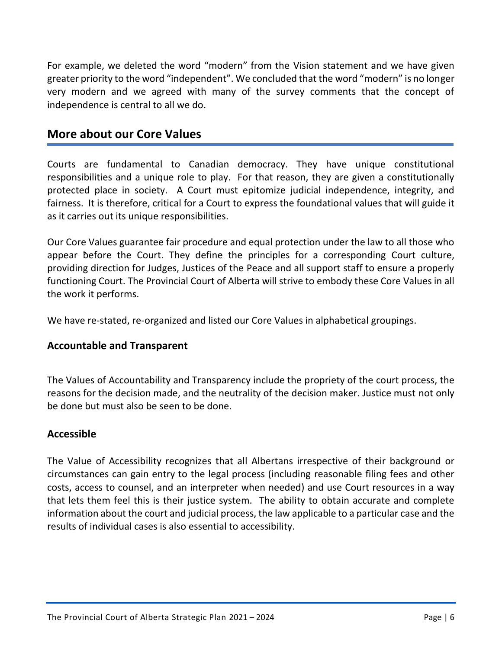For example, we deleted the word "modern" from the Vision statement and we have given greater priority to the word "independent". We concluded that the word "modern" is no longer very modern and we agreed with many of the survey comments that the concept of independence is central to all we do.

#### <span id="page-5-0"></span>**More about our Core Values**

Courts are fundamental to Canadian democracy. They have unique constitutional responsibilities and a unique role to play. For that reason, they are given a constitutionally protected place in society. A Court must epitomize judicial independence, integrity, and fairness. It is therefore, critical for a Court to express the foundational values that will guide it as it carries out its unique responsibilities.

Our Core Values guarantee fair procedure and equal protection under the law to all those who appear before the Court. They define the principles for a corresponding Court culture, providing direction for Judges, Justices of the Peace and all support staff to ensure a properly functioning Court. The Provincial Court of Alberta will strive to embody these Core Values in all the work it performs.

We have re-stated, re-organized and listed our Core Values in alphabetical groupings.

#### **Accountable and Transparent**

The Values of Accountability and Transparency include the propriety of the court process, the reasons for the decision made, and the neutrality of the decision maker. Justice must not only be done but must also be seen to be done.

#### **Accessible**

The Value of Accessibility recognizes that all Albertans irrespective of their background or circumstances can gain entry to the legal process (including reasonable filing fees and other costs, access to counsel, and an interpreter when needed) and use Court resources in a way that lets them feel this is their justice system. The ability to obtain accurate and complete information about the court and judicial process, the law applicable to a particular case and the results of individual cases is also essential to accessibility.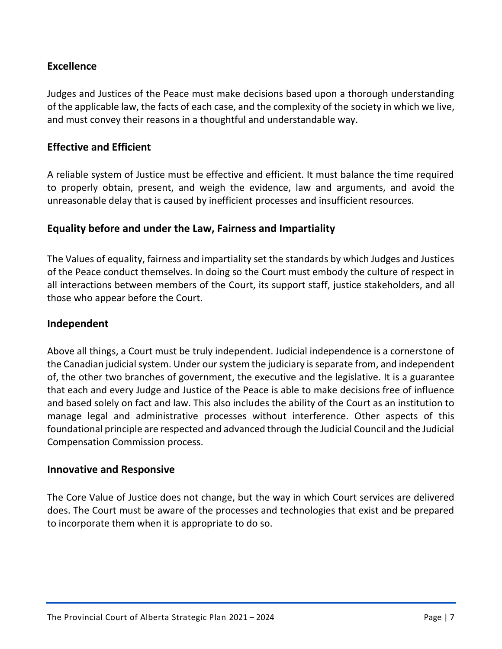#### **Excellence**

Judges and Justices of the Peace must make decisions based upon a thorough understanding of the applicable law, the facts of each case, and the complexity of the society in which we live, and must convey their reasons in a thoughtful and understandable way.

#### **Effective and Efficient**

A reliable system of Justice must be effective and efficient. It must balance the time required to properly obtain, present, and weigh the evidence, law and arguments, and avoid the unreasonable delay that is caused by inefficient processes and insufficient resources.

#### **Equality before and under the Law, Fairness and Impartiality**

The Values of equality, fairness and impartiality set the standards by which Judges and Justices of the Peace conduct themselves. In doing so the Court must embody the culture of respect in all interactions between members of the Court, its support staff, justice stakeholders, and all those who appear before the Court.

#### **Independent**

Above all things, a Court must be truly independent. Judicial independence is a cornerstone of the Canadian judicial system. Under our system the judiciary is separate from, and independent of, the other two branches of government, the executive and the legislative. It is a guarantee that each and every Judge and Justice of the Peace is able to make decisions free of influence and based solely on fact and law. This also includes the ability of the Court as an institution to manage legal and administrative processes without interference. Other aspects of this foundational principle are respected and advanced through the Judicial Council and the Judicial Compensation Commission process.

#### **Innovative and Responsive**

The Core Value of Justice does not change, but the way in which Court services are delivered does. The Court must be aware of the processes and technologies that exist and be prepared to incorporate them when it is appropriate to do so.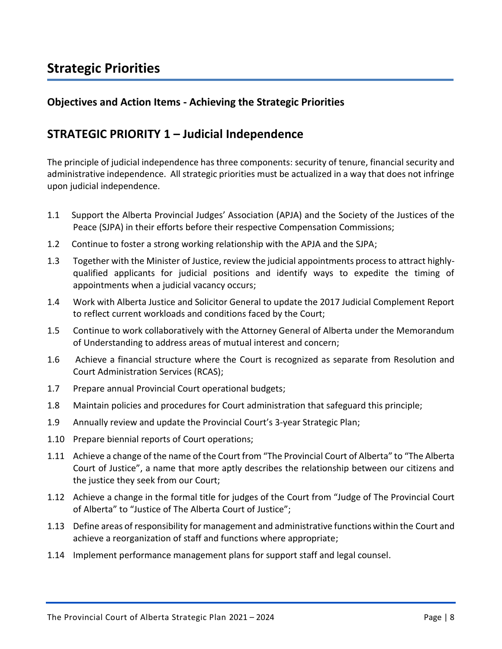## <span id="page-7-0"></span>**Strategic Priorities**

#### **Objectives and Action Items - Achieving the Strategic Priorities**

#### <span id="page-7-1"></span>**STRATEGIC PRIORITY 1 – Judicial Independence**

The principle of judicial independence has three components: security of tenure, financial security and administrative independence. All strategic priorities must be actualized in a way that does not infringe upon judicial independence.

- 1.1 Support the Alberta Provincial Judges' Association (APJA) and the Society of the Justices of the Peace (SJPA) in their efforts before their respective Compensation Commissions;
- 1.2 Continue to foster a strong working relationship with the APJA and the SJPA;
- 1.3 Together with the Minister of Justice, review the judicial appointments process to attract highlyqualified applicants for judicial positions and identify ways to expedite the timing of appointments when a judicial vacancy occurs;
- 1.4 Work with Alberta Justice and Solicitor General to update the 2017 Judicial Complement Report to reflect current workloads and conditions faced by the Court;
- 1.5 Continue to work collaboratively with the Attorney General of Alberta under the Memorandum of Understanding to address areas of mutual interest and concern;
- 1.6 Achieve a financial structure where the Court is recognized as separate from Resolution and Court Administration Services (RCAS);
- 1.7 Prepare annual Provincial Court operational budgets;
- 1.8 Maintain policies and procedures for Court administration that safeguard this principle;
- 1.9 Annually review and update the Provincial Court's 3-year Strategic Plan;
- 1.10 Prepare biennial reports of Court operations;
- 1.11 Achieve a change of the name of the Court from "The Provincial Court of Alberta" to "The Alberta Court of Justice", a name that more aptly describes the relationship between our citizens and the justice they seek from our Court;
- 1.12 Achieve a change in the formal title for judges of the Court from "Judge of The Provincial Court of Alberta" to "Justice of The Alberta Court of Justice";
- 1.13 Define areas of responsibility for management and administrative functions within the Court and achieve a reorganization of staff and functions where appropriate;
- 1.14 Implement performance management plans for support staff and legal counsel.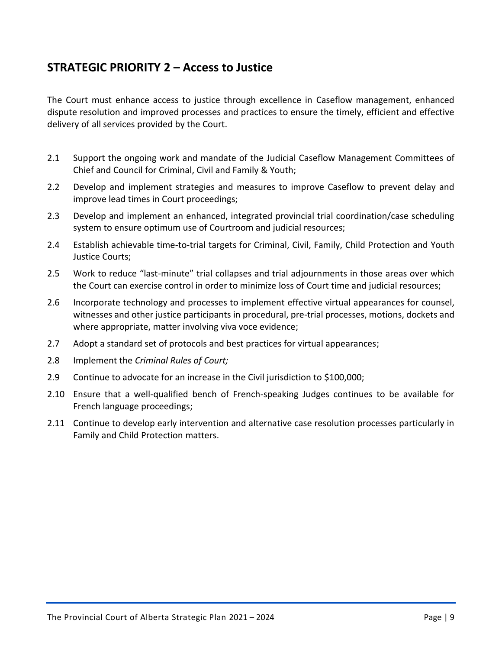## <span id="page-8-0"></span>**STRATEGIC PRIORITY 2 – Access to Justice**

The Court must enhance access to justice through excellence in Caseflow management, enhanced dispute resolution and improved processes and practices to ensure the timely, efficient and effective delivery of all services provided by the Court.

- 2.1 Support the ongoing work and mandate of the Judicial Caseflow Management Committees of Chief and Council for Criminal, Civil and Family & Youth;
- 2.2 Develop and implement strategies and measures to improve Caseflow to prevent delay and improve lead times in Court proceedings;
- 2.3 Develop and implement an enhanced, integrated provincial trial coordination/case scheduling system to ensure optimum use of Courtroom and judicial resources;
- 2.4 Establish achievable time-to-trial targets for Criminal, Civil, Family, Child Protection and Youth Justice Courts;
- 2.5 Work to reduce "last-minute" trial collapses and trial adjournments in those areas over which the Court can exercise control in order to minimize loss of Court time and judicial resources;
- 2.6 Incorporate technology and processes to implement effective virtual appearances for counsel, witnesses and other justice participants in procedural, pre-trial processes, motions, dockets and where appropriate, matter involving viva voce evidence;
- 2.7 Adopt a standard set of protocols and best practices for virtual appearances;
- 2.8 Implement the *Criminal Rules of Court;*
- 2.9 Continue to advocate for an increase in the Civil jurisdiction to \$100,000;
- 2.10 Ensure that a well-qualified bench of French-speaking Judges continues to be available for French language proceedings;
- 2.11 Continue to develop early intervention and alternative case resolution processes particularly in Family and Child Protection matters.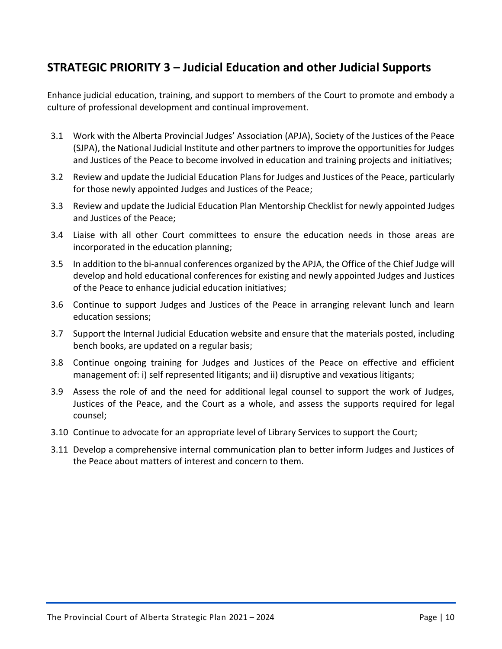## <span id="page-9-0"></span>**STRATEGIC PRIORITY 3 – Judicial Education and other Judicial Supports**

Enhance judicial education, training, and support to members of the Court to promote and embody a culture of professional development and continual improvement.

- 3.1 Work with the Alberta Provincial Judges' Association (APJA), Society of the Justices of the Peace (SJPA), the National Judicial Institute and other partners to improve the opportunities for Judges and Justices of the Peace to become involved in education and training projects and initiatives;
- 3.2 Review and update the Judicial Education Plans for Judges and Justices of the Peace, particularly for those newly appointed Judges and Justices of the Peace;
- 3.3 Review and update the Judicial Education Plan Mentorship Checklist for newly appointed Judges and Justices of the Peace;
- 3.4 Liaise with all other Court committees to ensure the education needs in those areas are incorporated in the education planning;
- 3.5 In addition to the bi-annual conferences organized by the APJA, the Office of the Chief Judge will develop and hold educational conferences for existing and newly appointed Judges and Justices of the Peace to enhance judicial education initiatives;
- 3.6 Continue to support Judges and Justices of the Peace in arranging relevant lunch and learn education sessions;
- 3.7 Support the Internal Judicial Education website and ensure that the materials posted, including bench books, are updated on a regular basis;
- 3.8 Continue ongoing training for Judges and Justices of the Peace on effective and efficient management of: i) self represented litigants; and ii) disruptive and vexatious litigants;
- 3.9 Assess the role of and the need for additional legal counsel to support the work of Judges, Justices of the Peace, and the Court as a whole, and assess the supports required for legal counsel;
- 3.10 Continue to advocate for an appropriate level of Library Services to support the Court;
- 3.11 Develop a comprehensive internal communication plan to better inform Judges and Justices of the Peace about matters of interest and concern to them.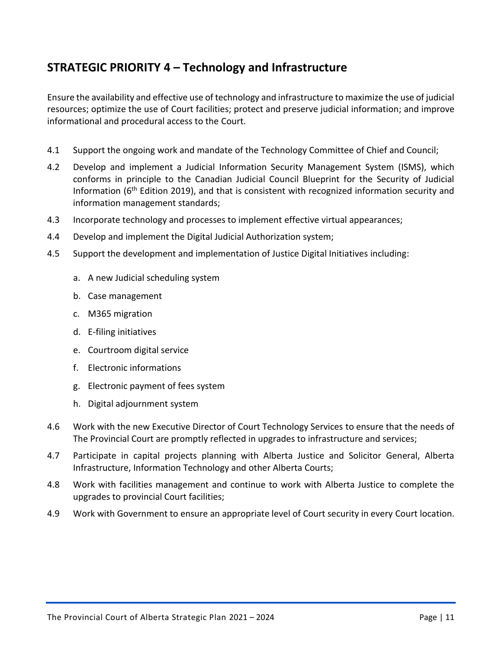## <span id="page-10-0"></span>**STRATEGIC PRIORITY 4 – Technology and Infrastructure**

Ensure the availability and effective use of technology and infrastructure to maximize the use of judicial resources; optimize the use of Court facilities; protect and preserve judicial information; and improve informational and procedural access to the Court.

- 4.1 Support the ongoing work and mandate of the Technology Committee of Chief and Council;
- 4.2 Develop and implement a Judicial Information Security Management System (ISMS), which conforms in principle to the Canadian Judicial Council Blueprint for the Security of Judicial Information (6<sup>th</sup> Edition 2019), and that is consistent with recognized information security and information management standards;
- 4.3 Incorporate technology and processes to implement effective virtual appearances;
- 4.4 Develop and implement the Digital Judicial Authorization system;
- 4.5 Support the development and implementation of Justice Digital Initiatives including:
	- a. A new Judicial scheduling system
	- b. Case management
	- c. M365 migration
	- d. E-filing initiatives
	- e. Courtroom digital service
	- f. Electronic informations
	- g. Electronic payment of fees system
	- h. Digital adjournment system
- 4.6 Work with the new Executive Director of Court Technology Services to ensure that the needs of The Provincial Court are promptly reflected in upgrades to infrastructure and services;
- 4.7 Participate in capital projects planning with Alberta Justice and Solicitor General, Alberta Infrastructure, Information Technology and other Alberta Courts;
- 4.8 Work with facilities management and continue to work with Alberta Justice to complete the upgrades to provincial Court facilities;
- 4.9 Work with Government to ensure an appropriate level of Court security in every Court location.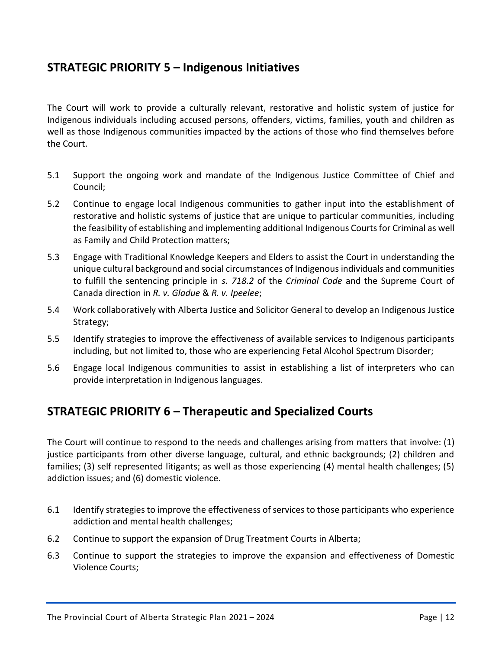## <span id="page-11-0"></span>**STRATEGIC PRIORITY 5 – Indigenous Initiatives**

The Court will work to provide a culturally relevant, restorative and holistic system of justice for Indigenous individuals including accused persons, offenders, victims, families, youth and children as well as those Indigenous communities impacted by the actions of those who find themselves before the Court.

- 5.1 Support the ongoing work and mandate of the Indigenous Justice Committee of Chief and Council;
- 5.2 Continue to engage local Indigenous communities to gather input into the establishment of restorative and holistic systems of justice that are unique to particular communities, including the feasibility of establishing and implementing additional Indigenous Courts for Criminal as well as Family and Child Protection matters;
- 5.3 Engage with Traditional Knowledge Keepers and Elders to assist the Court in understanding the unique cultural background and social circumstances of Indigenous individuals and communities to fulfill the sentencing principle in *s. 718.2* of the *Criminal Code* and the Supreme Court of Canada direction in *R. v. Gladue* & *R. v. Ipeelee*;
- 5.4 Work collaboratively with Alberta Justice and Solicitor General to develop an Indigenous Justice Strategy;
- 5.5 Identify strategies to improve the effectiveness of available services to Indigenous participants including, but not limited to, those who are experiencing Fetal Alcohol Spectrum Disorder;
- 5.6 Engage local Indigenous communities to assist in establishing a list of interpreters who can provide interpretation in Indigenous languages.

## <span id="page-11-1"></span>**STRATEGIC PRIORITY 6 – Therapeutic and Specialized Courts**

The Court will continue to respond to the needs and challenges arising from matters that involve: (1) justice participants from other diverse language, cultural, and ethnic backgrounds; (2) children and families; (3) self represented litigants; as well as those experiencing (4) mental health challenges; (5) addiction issues; and (6) domestic violence.

- 6.1 Identify strategies to improve the effectiveness of services to those participants who experience addiction and mental health challenges;
- 6.2 Continue to support the expansion of Drug Treatment Courts in Alberta;
- 6.3 Continue to support the strategies to improve the expansion and effectiveness of Domestic Violence Courts;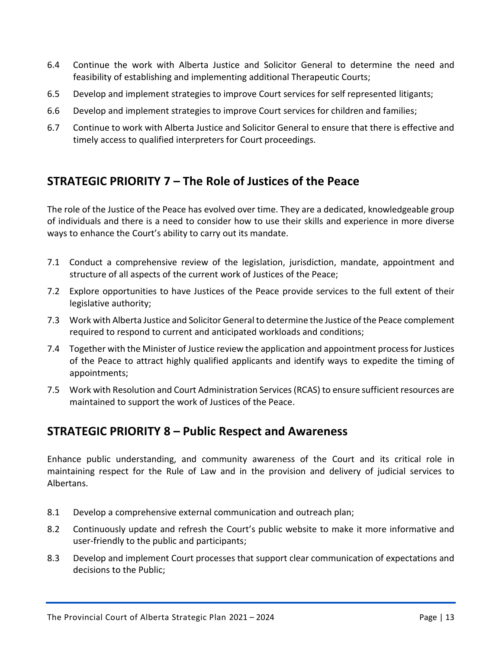- 6.4 Continue the work with Alberta Justice and Solicitor General to determine the need and feasibility of establishing and implementing additional Therapeutic Courts;
- 6.5 Develop and implement strategies to improve Court services for self represented litigants;
- 6.6 Develop and implement strategies to improve Court services for children and families;
- 6.7 Continue to work with Alberta Justice and Solicitor General to ensure that there is effective and timely access to qualified interpreters for Court proceedings.

## <span id="page-12-0"></span>**STRATEGIC PRIORITY 7 – The Role of Justices of the Peace**

The role of the Justice of the Peace has evolved over time. They are a dedicated, knowledgeable group of individuals and there is a need to consider how to use their skills and experience in more diverse ways to enhance the Court's ability to carry out its mandate.

- 7.1 Conduct a comprehensive review of the legislation, jurisdiction, mandate, appointment and structure of all aspects of the current work of Justices of the Peace;
- 7.2 Explore opportunities to have Justices of the Peace provide services to the full extent of their legislative authority;
- 7.3 Work with Alberta Justice and Solicitor General to determine the Justice of the Peace complement required to respond to current and anticipated workloads and conditions;
- 7.4 Together with the Minister of Justice review the application and appointment process for Justices of the Peace to attract highly qualified applicants and identify ways to expedite the timing of appointments;
- 7.5 Work with Resolution and Court Administration Services (RCAS) to ensure sufficient resources are maintained to support the work of Justices of the Peace.

## <span id="page-12-1"></span>**STRATEGIC PRIORITY 8 – Public Respect and Awareness**

Enhance public understanding, and community awareness of the Court and its critical role in maintaining respect for the Rule of Law and in the provision and delivery of judicial services to Albertans.

- 8.1 Develop a comprehensive external communication and outreach plan;
- 8.2 Continuously update and refresh the Court's public website to make it more informative and user-friendly to the public and participants;
- 8.3 Develop and implement Court processes that support clear communication of expectations and decisions to the Public;